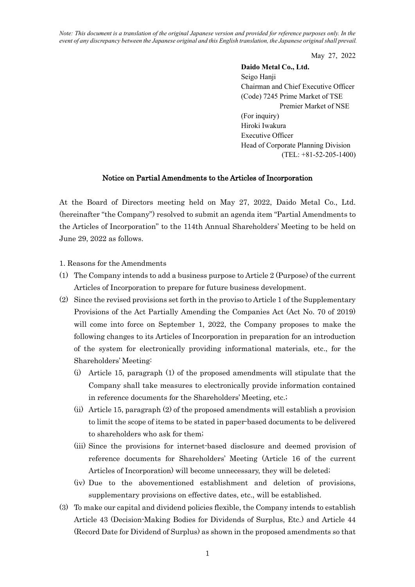*Note: This document is a translation of the original Japanese version and provided for reference purposes only. In the event of any discrepancy between the Japanese original and this English translation, the Japanese original shall prevail.*

May 27, 2022

**Daido Metal Co., Ltd.** Seigo Hanji Chairman and Chief Executive Officer (Code) 7245 Prime Market of TSE Premier Market of NSE (For inquiry) Hiroki Iwakura Executive Officer Head of Corporate Planning Division (TEL: +81-52-205-1400)

## Notice on Partial Amendments to the Articles of Incorporation

At the Board of Directors meeting held on May 27, 2022, Daido Metal Co., Ltd. (hereinafter "the Company") resolved to submit an agenda item "Partial Amendments to the Articles of Incorporation" to the 114th Annual Shareholders' Meeting to be held on June 29, 2022 as follows.

- 1. Reasons for the Amendments
- (1) The Company intends to add a business purpose to Article 2 (Purpose) of the current Articles of Incorporation to prepare for future business development.
- (2) Since the revised provisions set forth in the proviso to Article 1 of the Supplementary Provisions of the Act Partially Amending the Companies Act (Act No. 70 of 2019) will come into force on September 1, 2022, the Company proposes to make the following changes to its Articles of Incorporation in preparation for an introduction of the system for electronically providing informational materials, etc., for the Shareholders' Meeting:
	- (i) Article 15, paragraph (1) of the proposed amendments will stipulate that the Company shall take measures to electronically provide information contained in reference documents for the Shareholders' Meeting, etc.;
	- (ii) Article 15, paragraph (2) of the proposed amendments will establish a provision to limit the scope of items to be stated in paper-based documents to be delivered to shareholders who ask for them;
	- (iii) Since the provisions for internet-based disclosure and deemed provision of reference documents for Shareholders' Meeting (Article 16 of the current Articles of Incorporation) will become unnecessary, they will be deleted;
	- (iv) Due to the abovementioned establishment and deletion of provisions, supplementary provisions on effective dates, etc., will be established.
- (3) To make our capital and dividend policies flexible, the Company intends to establish Article 43 (Decision-Making Bodies for Dividends of Surplus, Etc.) and Article 44 (Record Date for Dividend of Surplus) as shown in the proposed amendments so that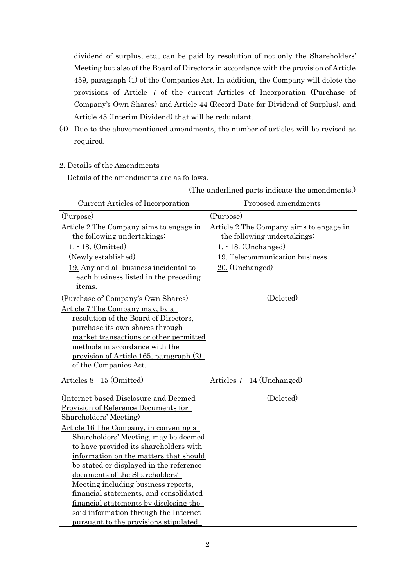dividend of surplus, etc., can be paid by resolution of not only the Shareholders' Meeting but also of the Board of Directors in accordance with the provision of Article 459, paragraph (1) of the Companies Act. In addition, the Company will delete the provisions of Article 7 of the current Articles of Incorporation (Purchase of Company's Own Shares) and Article 44 (Record Date for Dividend of Surplus), and Article 45 (Interim Dividend) that will be redundant.

- (4) Due to the abovementioned amendments, the number of articles will be revised as required.
- 2. Details of the Amendments

Details of the amendments are as follows.

| Current Articles of Incorporation             | Proposed amendments                     |
|-----------------------------------------------|-----------------------------------------|
| (Purpose)                                     | (Purpose)                               |
| Article 2 The Company aims to engage in       | Article 2 The Company aims to engage in |
| the following undertakings:                   | the following undertakings:             |
| $1. - 18.$ (Omitted)                          | 1. - 18. (Unchanged)                    |
| (Newly established)                           | 19. Telecommunication business          |
| 19. Any and all business incidental to        | $20.$ (Unchanged)                       |
| each business listed in the preceding         |                                         |
| items.                                        |                                         |
| (Purchase of Company's Own Shares)            | (Deleted)                               |
| <u>Article 7 The Company may, by a</u>        |                                         |
| resolution of the Board of Directors,         |                                         |
| purchase its own shares through               |                                         |
| market transactions or other permitted        |                                         |
| methods in accordance with the                |                                         |
| provision of Article 165, paragraph (2)       |                                         |
| of the Companies Act.                         |                                         |
| Articles 8 - 15 (Omitted)                     | Articles $7 - 14$ (Unchanged)           |
| (Internet-based Disclosure and Deemed         | (Deleted)                               |
| Provision of Reference Documents for          |                                         |
| Shareholders' Meeting)                        |                                         |
| <u>Article 16 The Company, in convening a</u> |                                         |
| Shareholders' Meeting, may be deemed          |                                         |
| to have provided its shareholders with        |                                         |
| information on the matters that should        |                                         |
| be stated or displayed in the reference       |                                         |
| documents of the Shareholders'                |                                         |
| Meeting including business reports,           |                                         |
| financial statements, and consolidated        |                                         |
| financial statements by disclosing the        |                                         |
| said information through the Internet         |                                         |
| pursuant to the provisions stipulated         |                                         |

(The underlined parts indicate the amendments.)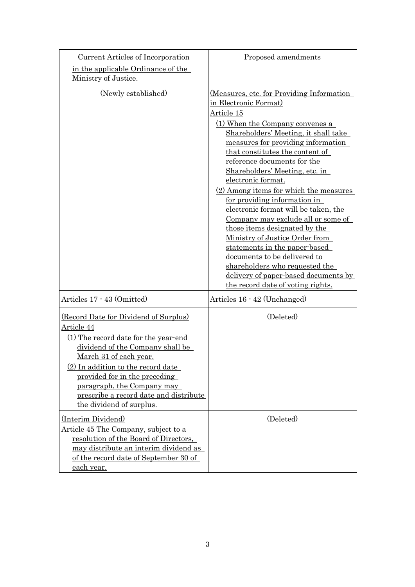| Current Articles of Incorporation                                                                                                                                                                                                                                                                                                           | Proposed amendments                                                                                                                                                                                                                                                                                                                                                                                                                                                                                                                                                                                                                                                                                                                             |
|---------------------------------------------------------------------------------------------------------------------------------------------------------------------------------------------------------------------------------------------------------------------------------------------------------------------------------------------|-------------------------------------------------------------------------------------------------------------------------------------------------------------------------------------------------------------------------------------------------------------------------------------------------------------------------------------------------------------------------------------------------------------------------------------------------------------------------------------------------------------------------------------------------------------------------------------------------------------------------------------------------------------------------------------------------------------------------------------------------|
| in the applicable Ordinance of the<br>Ministry of Justice.                                                                                                                                                                                                                                                                                  |                                                                                                                                                                                                                                                                                                                                                                                                                                                                                                                                                                                                                                                                                                                                                 |
| (Newly established)                                                                                                                                                                                                                                                                                                                         | <u>(Measures, etc. for Providing Information</u><br>in Electronic Format)<br>Article 15<br>(1) When the Company convenes a<br>Shareholders' Meeting, it shall take<br>measures for providing information<br>that constitutes the content of<br>reference documents for the<br>Shareholders' Meeting, etc. in<br>electronic format.<br>$(2)$ Among items for which the measures<br>for providing information in<br>electronic format will be taken, the<br>Company may exclude all or some of<br>those items designated by the<br>Ministry of Justice Order from<br>statements in the paper-based<br>documents to be delivered to<br>shareholders who requested the<br>delivery of paper-based documents by<br>the record date of voting rights. |
| Articles 17 · 43 (Omitted)                                                                                                                                                                                                                                                                                                                  | Articles 16 · 42 (Unchanged)                                                                                                                                                                                                                                                                                                                                                                                                                                                                                                                                                                                                                                                                                                                    |
| (Record Date for Dividend of Surplus)<br>Article 44<br>(1) The record date for the year-end<br>dividend of the Company shall be<br><u>March 31 of each year.</u><br>(2) In addition to the record date<br>provided for in the preceding<br>paragraph, the Company may<br>prescribe a record date and distribute<br>the dividend of surplus. | (Deleted)                                                                                                                                                                                                                                                                                                                                                                                                                                                                                                                                                                                                                                                                                                                                       |
| (Interim Dividend)<br><u>Article 45 The Company, subject to a</u><br>resolution of the Board of Directors,<br>may distribute an interim dividend as<br>of the record date of September 30 of<br><u>each year.</u>                                                                                                                           | (Deleted)                                                                                                                                                                                                                                                                                                                                                                                                                                                                                                                                                                                                                                                                                                                                       |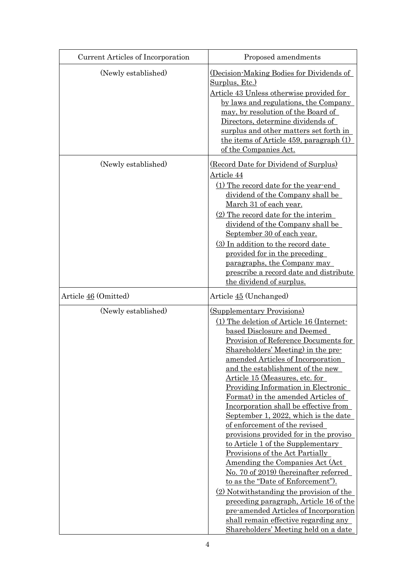| Current Articles of Incorporation | Proposed amendments                                                                                                                                                                                                                                                                                                                                                                                                                                                                                                                                                                                                                                                                                                                                                                                                                                                                                                                                                    |
|-----------------------------------|------------------------------------------------------------------------------------------------------------------------------------------------------------------------------------------------------------------------------------------------------------------------------------------------------------------------------------------------------------------------------------------------------------------------------------------------------------------------------------------------------------------------------------------------------------------------------------------------------------------------------------------------------------------------------------------------------------------------------------------------------------------------------------------------------------------------------------------------------------------------------------------------------------------------------------------------------------------------|
| (Newly established)               | (Decision-Making Bodies for Dividends of<br><u>Surplus, Etc.)</u><br>Article 43 Unless otherwise provided for<br>by laws and regulations, the Company<br>may, by resolution of the Board of<br>Directors, determine dividends of<br>surplus and other matters set forth in<br>the items of Article 459, paragraph $(1)$<br>of the Companies Act.                                                                                                                                                                                                                                                                                                                                                                                                                                                                                                                                                                                                                       |
| (Newly established)               | (Record Date for Dividend of Surplus)<br>Article 44<br>(1) The record date for the year-end<br>dividend of the Company shall be<br>March 31 of each year.<br>$(2)$ The record date for the interim<br>dividend of the Company shall be<br>September 30 of each year.<br>(3) In addition to the record date<br>provided for in the preceding<br>paragraphs, the Company may<br>prescribe a record date and distribute<br>the dividend of surplus.                                                                                                                                                                                                                                                                                                                                                                                                                                                                                                                       |
| Article 46 (Omitted)              | Article 45 (Unchanged)                                                                                                                                                                                                                                                                                                                                                                                                                                                                                                                                                                                                                                                                                                                                                                                                                                                                                                                                                 |
| (Newly established)               | <b>(Supplementary Provisions)</b><br>(1) The deletion of Article 16 (Internet-<br>based Disclosure and Deemed<br>Provision of Reference Documents for<br>Shareholders' Meeting) in the pre-<br>amended Articles of Incorporation<br>and the establishment of the new<br>Article 15 (Measures, etc. for<br><b>Providing Information in Electronic</b><br>Format) in the amended Articles of<br>Incorporation shall be effective from<br>September 1, 2022, which is the date<br>of enforcement of the revised<br>provisions provided for in the proviso<br>to Article 1 of the Supplementary<br>Provisions of the Act Partially<br><u>Amending the Companies Act (Act.</u><br>No. 70 of 2019) (hereinafter referred<br>to as the "Date of Enforcement").<br>(2) Notwithstanding the provision of the<br>preceding paragraph, Article 16 of the<br>pre-amended Articles of Incorporation<br>shall remain effective regarding any<br>Shareholders' Meeting held on a date |